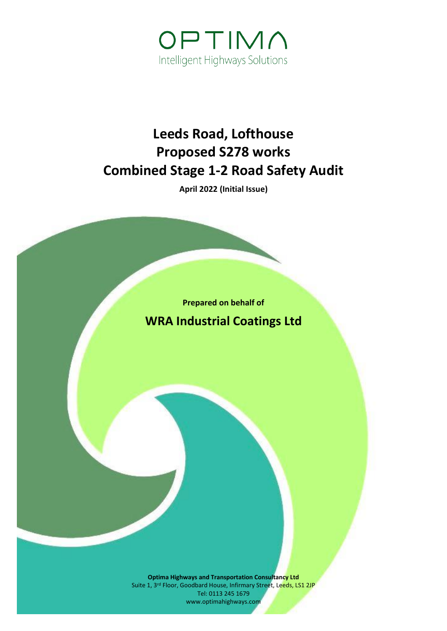

# **Leeds Road, Lofthouse Proposed S278 works Combined Stage 1-2 Road Safety Audit**

**April 2022 (Initial Issue)**

**Prepared on behalf of WRA Industrial Coatings Ltd**

**Optima Highways and Transportation Consultancy Ltd** Suite 1, 3<sup>rd</sup> Floor, Goodbard House, Infirmary Street, Leeds, LS1 2JP Tel: 0113 245 1679 www.optimahighways.com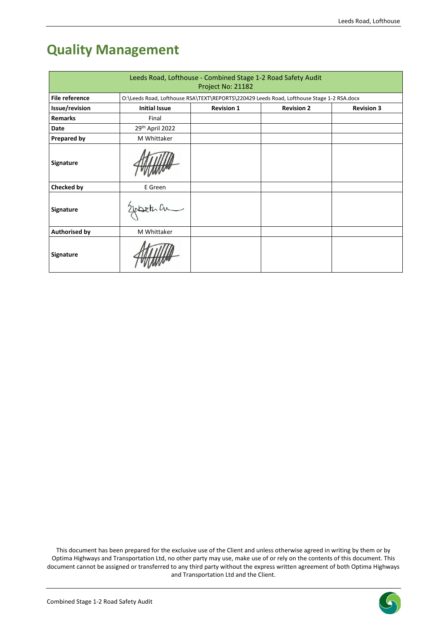# **Quality Management**

| Leeds Road, Lofthouse - Combined Stage 1-2 Road Safety Audit<br>Project No: 21182 |                                                                                           |                   |                   |                   |  |
|-----------------------------------------------------------------------------------|-------------------------------------------------------------------------------------------|-------------------|-------------------|-------------------|--|
| <b>File reference</b>                                                             | O:\Leeds Road, Lofthouse RSA\TEXT\REPORTS\220429 Leeds Road, Lofthouse Stage 1-2 RSA.docx |                   |                   |                   |  |
| Issue/revision                                                                    | <b>Initial Issue</b>                                                                      | <b>Revision 1</b> | <b>Revision 2</b> | <b>Revision 3</b> |  |
| <b>Remarks</b>                                                                    | Final                                                                                     |                   |                   |                   |  |
| Date                                                                              | 29th April 2022                                                                           |                   |                   |                   |  |
| <b>Prepared by</b>                                                                | M Whittaker                                                                               |                   |                   |                   |  |
| <b>Signature</b>                                                                  |                                                                                           |                   |                   |                   |  |
| Checked by                                                                        | E Green                                                                                   |                   |                   |                   |  |
| <b>Signature</b>                                                                  | Elepter an                                                                                |                   |                   |                   |  |
| <b>Authorised by</b>                                                              | M Whittaker                                                                               |                   |                   |                   |  |
| <b>Signature</b>                                                                  |                                                                                           |                   |                   |                   |  |

This document has been prepared for the exclusive use of the Client and unless otherwise agreed in writing by them or by Optima Highways and Transportation Ltd, no other party may use, make use of or rely on the contents of this document. This document cannot be assigned or transferred to any third party without the express written agreement of both Optima Highways and Transportation Ltd and the Client.

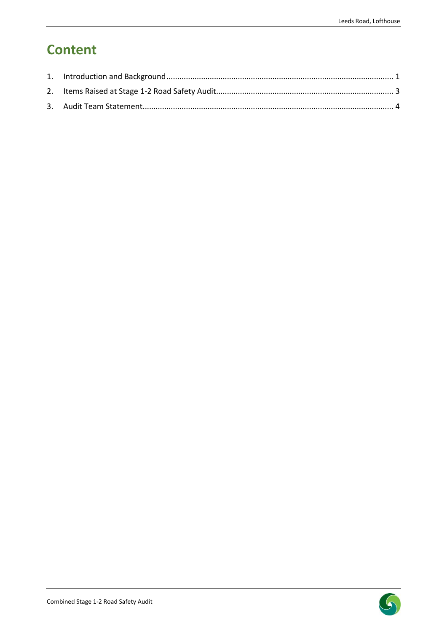## **Content**

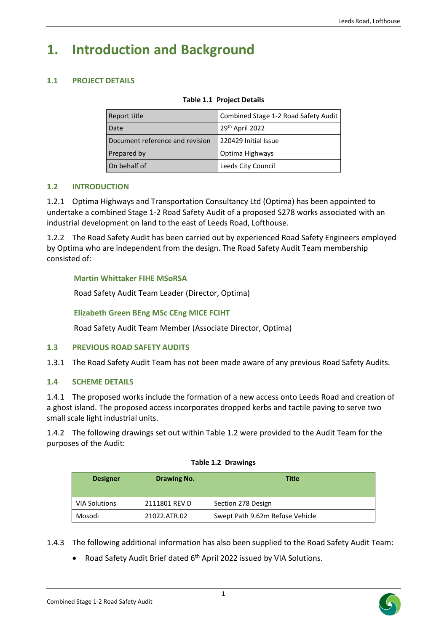### <span id="page-3-0"></span>**1. Introduction and Background**

### **1.1 PROJECT DETAILS**

|  | <b>Table 1.1 Project Details</b> |
|--|----------------------------------|
|--|----------------------------------|

| Report title                    | Combined Stage 1-2 Road Safety Audit |  |
|---------------------------------|--------------------------------------|--|
| Date                            | 29th April 2022                      |  |
| Document reference and revision | 220429 Initial Issue                 |  |
| Prepared by                     | Optima Highways                      |  |
| On behalf of                    | Leeds City Council                   |  |

#### **1.2 INTRODUCTION**

1.2.1 Optima Highways and Transportation Consultancy Ltd (Optima) has been appointed to undertake a combined Stage 1-2 Road Safety Audit of a proposed S278 works associated with an industrial development on land to the east of Leeds Road, Lofthouse.

1.2.2 The Road Safety Audit has been carried out by experienced Road Safety Engineers employed by Optima who are independent from the design. The Road Safety Audit Team membership consisted of:

#### **Martin Whittaker FIHE MSoRSA**

Road Safety Audit Team Leader (Director, Optima)

#### **Elizabeth Green BEng MSc CEng MICE FCIHT**

Road Safety Audit Team Member (Associate Director, Optima)

#### **1.3 PREVIOUS ROAD SAFETY AUDITS**

1.3.1 The Road Safety Audit Team has not been made aware of any previous Road Safety Audits.

#### **1.4 SCHEME DETAILS**

1.4.1 The proposed works include the formation of a new access onto Leeds Road and creation of a ghost island. The proposed access incorporates dropped kerbs and tactile paving to serve two small scale light industrial units.

1.4.2 The following drawings set out within Table 1.2 were provided to the Audit Team for the purposes of the Audit:

| <b>Designer</b>      | <b>Drawing No.</b> | Title                           |
|----------------------|--------------------|---------------------------------|
| <b>VIA Solutions</b> | 2111801 REV D      | Section 278 Design              |
| Mosodi               | 21022.ATR.02       | Swept Path 9.62m Refuse Vehicle |

#### **Table 1.2 Drawings**

1.4.3 The following additional information has also been supplied to the Road Safety Audit Team:

• Road Safety Audit Brief dated 6<sup>th</sup> April 2022 issued by VIA Solutions.

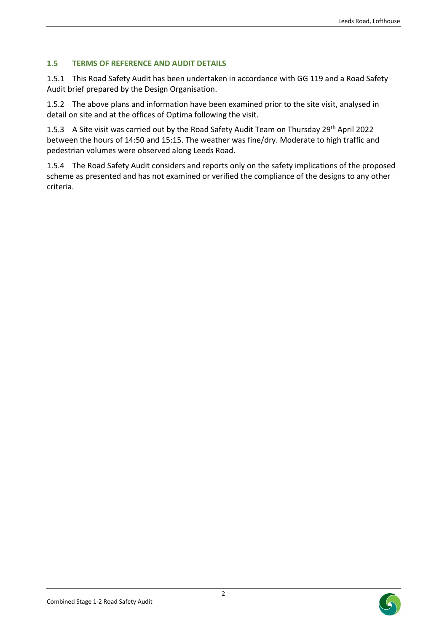### **1.5 TERMS OF REFERENCE AND AUDIT DETAILS**

1.5.1 This Road Safety Audit has been undertaken in accordance with GG 119 and a Road Safety Audit brief prepared by the Design Organisation.

1.5.2 The above plans and information have been examined prior to the site visit, analysed in detail on site and at the offices of Optima following the visit.

1.5.3 A Site visit was carried out by the Road Safety Audit Team on Thursday 29<sup>th</sup> April 2022 between the hours of 14:50 and 15:15. The weather was fine/dry. Moderate to high traffic and pedestrian volumes were observed along Leeds Road.

1.5.4 The Road Safety Audit considers and reports only on the safety implications of the proposed scheme as presented and has not examined or verified the compliance of the designs to any other criteria.



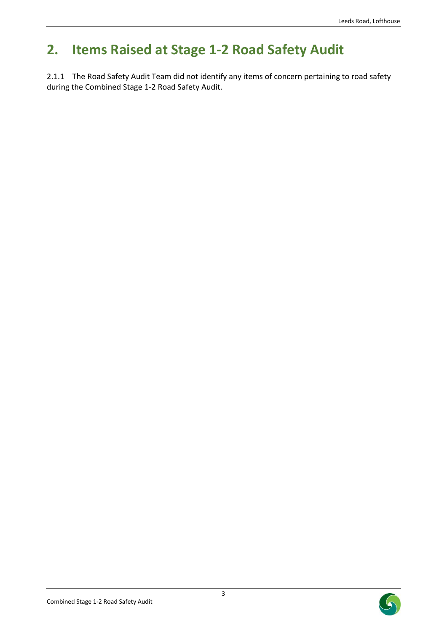# <span id="page-5-0"></span>**2. Items Raised at Stage 1-2 Road Safety Audit**

2.1.1 The Road Safety Audit Team did not identify any items of concern pertaining to road safety during the Combined Stage 1-2 Road Safety Audit.